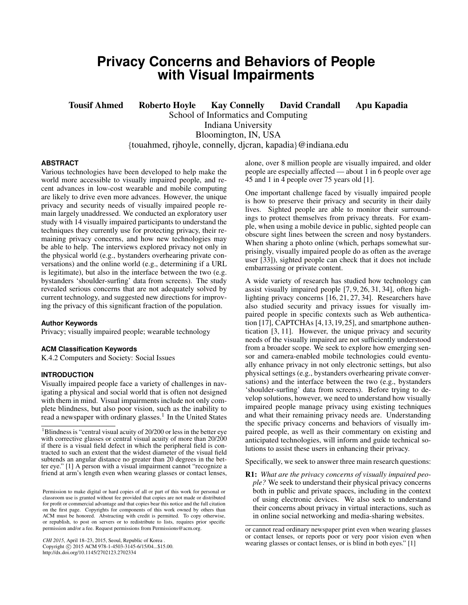# **Privacy Concerns and Behaviors of People with Visual Impairments**

Tousif Ahmed Roberto Hoyle Kay Connelly David Crandall Apu Kapadia

School of Informatics and Computing

Indiana University

Bloomington, IN, USA

{touahmed, rjhoyle, connelly, djcran, kapadia}@indiana.edu

## **ABSTRACT**

Various technologies have been developed to help make the world more accessible to visually impaired people, and recent advances in low-cost wearable and mobile computing are likely to drive even more advances. However, the unique privacy and security needs of visually impaired people remain largely unaddressed. We conducted an exploratory user study with 14 visually impaired participants to understand the techniques they currently use for protecting privacy, their remaining privacy concerns, and how new technologies may be able to help. The interviews explored privacy not only in the physical world (e.g., bystanders overhearing private conversations) and the online world (e.g., determining if a URL is legitimate), but also in the interface between the two (e.g. bystanders 'shoulder-surfing' data from screens). The study revealed serious concerns that are not adequately solved by current technology, and suggested new directions for improving the privacy of this significant fraction of the population.

## **Author Keywords**

Privacy; visually impaired people; wearable technology

#### **ACM Classification Keywords**

K.4.2 Computers and Society: Social Issues

## **INTRODUCTION**

Visually impaired people face a variety of challenges in navigating a physical and social world that is often not designed with them in mind. Visual impairments include not only complete blindness, but also poor vision, such as the inability to read a newspaper with ordinary glasses.<sup>1</sup> In the United States

*CHI 2015*, April 18–23, 2015, Seoul, Republic of Korea . Copyright © 2015 ACM 978-1-4503-3145-6/15/04...\$15.00. http://dx.doi.org/10.1145/2702123.2702334

alone, over 8 million people are visually impaired, and older people are especially affected — about 1 in 6 people over age 45 and 1 in 4 people over 75 years old [1].

One important challenge faced by visually impaired people is how to preserve their privacy and security in their daily lives. Sighted people are able to monitor their surroundings to protect themselves from privacy threats. For example, when using a mobile device in public, sighted people can obscure sight lines between the screen and nosy bystanders. When sharing a photo online (which, perhaps somewhat surprisingly, visually impaired people do as often as the average user [33]), sighted people can check that it does not include embarrassing or private content.

A wide variety of research has studied how technology can assist visually impaired people [7, 9, 26, 31, 34], often highlighting privacy concerns [16, 21, 27, 34]. Researchers have also studied security and privacy issues for visually impaired people in specific contexts such as Web authentication [17], CAPTCHAs [4, 13, 19, 25], and smartphone authentication [3, 11]. However, the unique privacy and security needs of the visually impaired are not sufficiently understood from a broader scope. We seek to explore how emerging sensor and camera-enabled mobile technologies could eventually enhance privacy in not only electronic settings, but also physical settings (e.g., bystanders overhearing private conversations) and the interface between the two (e.g., bystanders 'shoulder-surfing' data from screens). Before trying to develop solutions, however, we need to understand how visually impaired people manage privacy using existing techniques and what their remaining privacy needs are. Understanding the specific privacy concerns and behaviors of visually impaired people, as well as their commentary on existing and anticipated technologies, will inform and guide technical solutions to assist these users in enhancing their privacy.

Specifically, we seek to answer three main research questions:

R1: *What are the privacy concerns of visually impaired people?* We seek to understand their physical privacy concerns both in public and private spaces, including in the context of using electronic devices. We also seek to understand their concerns about privacy in virtual interactions, such as in online social networking and media-sharing websites.

<span id="page-0-0"></span> $1B$ lindness is "central visual acuity of 20/200 or less in the better eye with corrective glasses or central visual acuity of more than 20/200 if there is a visual field defect in which the peripheral field is contracted to such an extent that the widest diameter of the visual field subtends an angular distance no greater than 20 degrees in the better eye." [1] A person with a visual impairment cannot "recognize a friend at arm's length even when wearing glasses or contact lenses,

Permission to make digital or hard copies of all or part of this work for personal or classroom use is granted without fee provided that copies are not made or distributed for profit or commercial advantage and that copies bear this notice and the full citation on the first page. Copyrights for components of this work owned by others than ACM must be honored. Abstracting with credit is permitted. To copy otherwise, or republish, to post on servers or to redistribute to lists, requires prior specific permission and/or a fee. Request permissions from Permissions@acm.org.

or cannot read ordinary newspaper print even when wearing glasses or contact lenses, or reports poor or very poor vision even when wearing glasses or contact lenses, or is blind in both eyes." [1]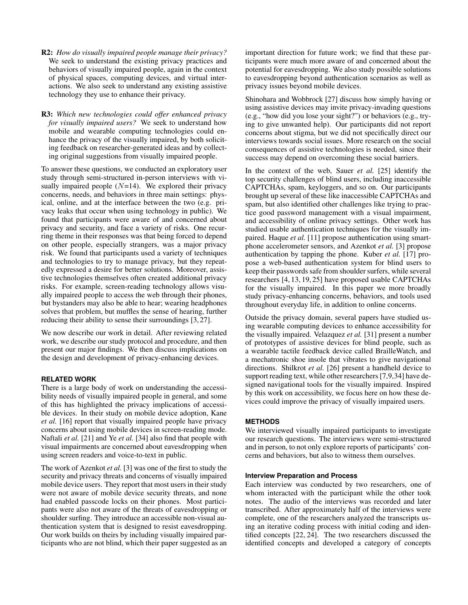- R2: *How do visually impaired people manage their privacy?*  We seek to understand the existing privacy practices and behaviors of visually impaired people, again in the context of physical spaces, computing devices, and virtual interactions. We also seek to understand any existing assistive technology they use to enhance their privacy.
- R3: *Which new technologies could offer enhanced privacy for visually impaired users?* We seek to understand how mobile and wearable computing technologies could enhance the privacy of the visually impaired, by both soliciting feedback on researcher-generated ideas and by collecting original suggestions from visually impaired people.

To answer these questions, we conducted an exploratory user study through semi-structured in-person interviews with visually impaired people  $(N=14)$ . We explored their privacy concerns, needs, and behaviors in three main settings: physical, online, and at the interface between the two (e.g. privacy leaks that occur when using technology in public). We found that participants were aware of and concerned about privacy and security, and face a variety of risks. One recurring theme in their responses was that being forced to depend on other people, especially strangers, was a major privacy risk. We found that participants used a variety of techniques and technologies to try to manage privacy, but they repeatedly expressed a desire for better solutions. Moreover, assistive technologies themselves often created additional privacy risks. For example, screen-reading technology allows visually impaired people to access the web through their phones, but bystanders may also be able to hear; wearing headphones solves that problem, but muffles the sense of hearing, further reducing their ability to sense their surroundings [3, 27].

We now describe our work in detail. After reviewing related work, we describe our study protocol and procedure, and then present our major findings. We then discuss implications on the design and development of privacy-enhancing devices.

# **RELATED WORK**

There is a large body of work on understanding the accessibility needs of visually impaired people in general, and some of this has highlighted the privacy implications of accessible devices. In their study on mobile device adoption, Kane *et al.* [16] report that visually impaired people have privacy concerns about using mobile devices in screen-reading mode. Naftali *et al.* [21] and Ye *et al.* [34] also find that people with visual impairments are concerned about eavesdropping when using screen readers and voice-to-text in public.

The work of Azenkot *et al.* [3] was one of the first to study the security and privacy threats and concerns of visually impaired mobile device users. They report that most users in their study were not aware of mobile device security threats, and none had enabled passcode locks on their phones. Most participants were also not aware of the threats of eavesdropping or shoulder surfing. They introduce an accessible non-visual authentication system that is designed to resist eavesdropping. Our work builds on theirs by including visually impaired participants who are not blind, which their paper suggested as an

important direction for future work; we find that these participants were much more aware of and concerned about the potential for eavesdropping. We also study possible solutions to eavesdropping beyond authentication scenarios as well as privacy issues beyond mobile devices.

Shinohara and Wobbrock [27] discuss how simply having or using assistive devices may invite privacy-invading questions (e.g., "how did you lose your sight?") or behaviors (e.g., trying to give unwanted help). Our participants did not report concerns about stigma, but we did not specifically direct our interviews towards social issues. More research on the social consequences of assistive technologies is needed, since their success may depend on overcoming these social barriers.

In the context of the web, Sauer *et al.* [25] identify the top security challenges of blind users, including inaccessible CAPTCHAs, spam, keyloggers, and so on. Our participants brought up several of these like inaccessible CAPTCHAs and spam, but also identified other challenges like trying to practice good password management with a visual impairment, and accessibility of online privacy settings. Other work has studied usable authentication techniques for the visually impaired. Haque *et al.* [11] propose authentication using smartphone accelerometer sensors, and Azenkot *et al.* [3] propose authentication by tapping the phone. Kuber *et al.* [17] propose a web-based authentication system for blind users to keep their passwords safe from shoulder surfers, while several researchers [4, 13, 19, 25] have proposed usable CAPTCHAs for the visually impaired. In this paper we more broadly study privacy-enhancing concerns, behaviors, and tools used throughout everyday life, in addition to online concerns.

Outside the privacy domain, several papers have studied using wearable computing devices to enhance accessibility for the visually impaired. Velazquez *et al.* [31] present a number of prototypes of assistive devices for blind people, such as a wearable tactile feedback device called BrailleWatch, and a mechatronic shoe insole that vibrates to give navigational directions. Shilkrot *et al.* [26] present a handheld device to support reading text, while other researchers [7,9,34] have designed navigational tools for the visually impaired. Inspired by this work on accessibility, we focus here on how these devices could improve the privacy of visually impaired users.

## **METHODS**

We interviewed visually impaired participants to investigate our research questions. The interviews were semi-structured and in person, to not only explore reports of participants' concerns and behaviors, but also to witness them ourselves.

## **Interview Preparation and Process**

Each interview was conducted by two researchers, one of whom interacted with the participant while the other took notes. The audio of the interviews was recorded and later transcribed. After approximately half of the interviews were complete, one of the researchers analyzed the transcripts using an iterative coding process with initial coding and identified concepts [22, 24]. The two researchers discussed the identified concepts and developed a category of concepts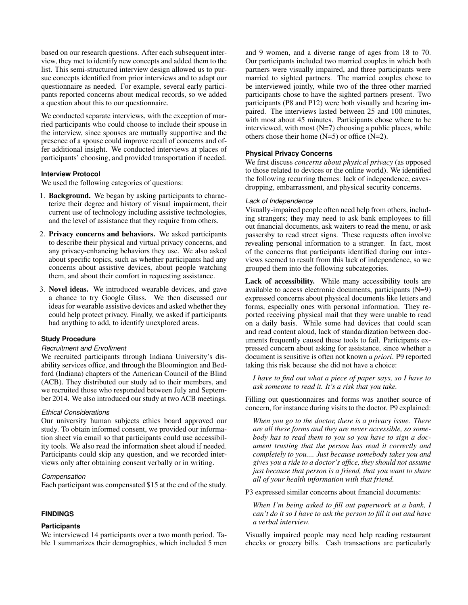based on our research questions. After each subsequent interview, they met to identify new concepts and added them to the list. This semi-structured interview design allowed us to pursue concepts identified from prior interviews and to adapt our questionnaire as needed. For example, several early participants reported concerns about medical records, so we added a question about this to our questionnaire.

We conducted separate interviews, with the exception of married participants who could choose to include their spouse in the interview, since spouses are mutually supportive and the presence of a spouse could improve recall of concerns and offer additional insight. We conducted interviews at places of participants' choosing, and provided transportation if needed.

# **Interview Protocol**

We used the following categories of questions:

- 1. Background. We began by asking participants to characterize their degree and history of visual impairment, their current use of technology including assistive technologies, and the level of assistance that they require from others.
- 2. Privacy concerns and behaviors. We asked participants to describe their physical and virtual privacy concerns, and any privacy-enhancing behaviors they use. We also asked about specific topics, such as whether participants had any concerns about assistive devices, about people watching them, and about their comfort in requesting assistance.
- 3. Novel ideas. We introduced wearable devices, and gave a chance to try Google Glass. We then discussed our ideas for wearable assistive devices and asked whether they could help protect privacy. Finally, we asked if participants had anything to add, to identify unexplored areas.

# **Study Procedure**

## *Recruitment and Enrollment*

We recruited participants through Indiana University's disability services office, and through the Bloomington and Bedford (Indiana) chapters of the American Council of the Blind (ACB). They distributed our study ad to their members, and we recruited those who responded between July and September 2014. We also introduced our study at two ACB meetings.

## *Ethical Considerations*

Our university human subjects ethics board approved our study. To obtain informed consent, we provided our information sheet via email so that participants could use accessibility tools. We also read the information sheet aloud if needed. Participants could skip any question, and we recorded interviews only after obtaining consent verbally or in writing.

## *Compensation*

Each participant was compensated \$15 at the end of the study.

# **FINDINGS**

## **Participants**

We interviewed 14 participants over a two month period. Table [1](#page-3-0) summarizes their demographics, which included 5 men

and 9 women, and a diverse range of ages from 18 to 70. Our participants included two married couples in which both partners were visually impaired, and three participants were married to sighted partners. The married couples chose to be interviewed jointly, while two of the three other married participants chose to have the sighted partners present. Two participants (P8 and P12) were both visually and hearing impaired. The interviews lasted between 25 and 100 minutes, with most about 45 minutes. Participants chose where to be interviewed, with most  $(N=7)$  choosing a public places, while others chose their home  $(N=5)$  or office  $(N=2)$ .

# **Physical Privacy Concerns**

We first discuss *concerns about physical privacy* (as opposed to those related to devices or the online world). We identified the following recurring themes: lack of independence, eavesdropping, embarrassment, and physical security concerns.

## *Lack of Independence*

Visually-impaired people often need help from others, including strangers; they may need to ask bank employees to fill out financial documents, ask waiters to read the menu, or ask passersby to read street signs. These requests often involve revealing personal information to a stranger. In fact, most of the concerns that participants identified during our interviews seemed to result from this lack of independence, so we grouped them into the following subcategories.

Lack of accessibility. While many accessibility tools are available to access electronic documents, participants (N=9) expressed concerns about physical documents like letters and forms, especially ones with personal information. They reported receiving physical mail that they were unable to read on a daily basis. While some had devices that could scan and read content aloud, lack of standardization between documents frequently caused these tools to fail. Participants expressed concern about asking for assistance, since whether a document is sensitive is often not known *a priori*. P9 reported taking this risk because she did not have a choice:

*I have to find out what a piece of paper says, so I have to ask someone to read it. It's a risk that you take.* 

Filling out questionnaires and forms was another source of concern, for instance during visits to the doctor. P9 explained:

*When you go to the doctor, there is a privacy issue. There are all these forms and they are never accessible, so somebody has to read them to you so you have to sign a document trusting that the person has read it correctly and completely to you.... Just because somebody takes you and gives you a ride to a doctor's office, they should not assume just because that person is a friend, that you want to share all of your health information with that friend.* 

P3 expressed similar concerns about financial documents:

*When I'm being asked to fill out paperwork at a bank, I can't do it so I have to ask the person to fill it out and have a verbal interview.* 

Visually impaired people may need help reading restaurant checks or grocery bills. Cash transactions are particularly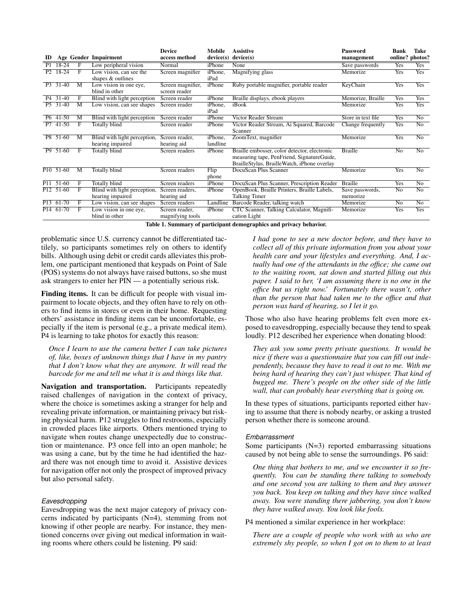| m              |                                                |   | Age Gender Impairment                            | <b>Device</b><br>access method     | Mobile<br>device(s) | <b>Assistive</b><br>device(s)                                                                                                             | <b>Password</b><br>management | Bank           | Take<br>online? photos? |
|----------------|------------------------------------------------|---|--------------------------------------------------|------------------------------------|---------------------|-------------------------------------------------------------------------------------------------------------------------------------------|-------------------------------|----------------|-------------------------|
| P <sub>1</sub> | $18-24$                                        | F | Low peripheral vision                            | Normal                             | iPhone              | None                                                                                                                                      | Save passwords                | Yes            | Yes                     |
| P <sub>2</sub> | $18-24$                                        | F | Low vision, can see the<br>shapes & outlines     | Screen magnifier                   | iPhone,<br>iPad     | Magnifying glass                                                                                                                          | Memorize                      | Yes            | <b>Yes</b>              |
|                | P3 31-40                                       | M | Low vision in one eye,<br>blind in other         | Screen magnifier,<br>screen reader | iPhone              | Ruby portable magnifier, portable reader                                                                                                  | KeyChain                      | Yes            | <b>Yes</b>              |
|                | P <sub>4</sub> 31-40                           | F | Blind with light perception                      | Screen reader                      | iPhone              | Braille displays, ebook players                                                                                                           | Memorize, Braille             | <b>Yes</b>     | <b>Yes</b>              |
|                | P5 31-40                                       | M | Low vision, can see shapes                       | Screen reader                      | iPhone,<br>iPad     | iBook                                                                                                                                     | Memorize                      | Yes            | <b>Yes</b>              |
|                | P <sub>6</sub> 41-50                           | M | Blind with light perception                      | Screen reader                      | iPhone              | Victor Reader Stream                                                                                                                      | Store in text file            | Yes            | $\overline{No}$         |
|                | P7 41-50                                       | F | Totally blind                                    | Screen reader                      | iPhone              | Victor Reader Stream, Ai Squared, Barcode<br>Scanner                                                                                      | Change frequently             | Yes            | $\overline{No}$         |
|                | P8 51-60                                       | M | Blind with light perception,<br>hearing impaired | Screen reader,<br>hearing aid      | iPhone,<br>landline | ZoomText, magnifier                                                                                                                       | Memorize                      | <b>Yes</b>     | $\overline{No}$         |
|                | P9 51-60                                       | F | Totally blind                                    | Screen readers                     | iPhone              | Braille embosser, color detector, electronic<br>measuring tape, PenFriend, SignatureGuide,<br>BrailleStylus, BrailleWatch, iPhone overlay | <b>Braille</b>                | N <sub>0</sub> | N <sub>o</sub>          |
|                | P <sub>10</sub> 5 <sub>1</sub> -60             | M | Totally blind                                    | Screen readers                     | Flip<br>phone       | DocuScan Plus Scanner                                                                                                                     | Memorize                      | Yes            | N <sub>o</sub>          |
|                | P <sub>11</sub> 51-60                          | F | Totally blind                                    | Screen readers                     | iPhone              | DocuScan Plus Scanner, Prescription Reader                                                                                                | <b>Braille</b>                | Yes            | $\overline{No}$         |
|                | P12 51-60                                      | F | Blind with light perception,<br>hearing impaired | Screen readers,<br>hearing aid     | iPhone              | OpenBook, Braille Printers, Braille Labels,<br>Talking Timer                                                                              | Save passwords,<br>memorize   | No.            | N <sub>o</sub>          |
|                | P <sub>13</sub> $61-70$                        | F | Low vision, can see shapes                       | Screen readers                     | Landline            | Barcode Reader, talking watch                                                                                                             | Memorize                      | N <sub>0</sub> | $\overline{No}$         |
|                | P <sub>14</sub> 6 <sub>1</sub> -7 <sub>0</sub> | F | Low vision in one eye,<br>blind in other         | Screen reader,<br>magnifying tools | iPhone              | CTC Scanner, Talking Calculator, Magnifi-<br>cation Light                                                                                 | Memorize                      | Yes            | <b>Yes</b>              |

<span id="page-3-0"></span>Table 1. Summary of participant demographics and privacy behavior.

problematic since U.S. currency cannot be differentiated tactilely, so participants sometimes rely on others to identify bills. Although using debit or credit cards alleviates this problem, one participant mentioned that keypads on Point of Sale (POS) systems do not always have raised buttons, so she must ask strangers to enter her PIN — a potentially serious risk.

Finding items. It can be difficult for people with visual impairment to locate objects, and they often have to rely on others to find items in stores or even in their home. Requesting others' assistance in finding items can be uncomfortable, especially if the item is personal (e.g., a private medical item). P4 is learning to take photos for exactly this reason:

*Once I learn to use the camera better I can take pictures of, like, boxes of unknown things that I have in my pantry that I don't know what they are anymore. It will read the barcode for me and tell me what it is and things like that.* 

Navigation and transportation. Participants repeatedly raised challenges of navigation in the context of privacy, where the choice is sometimes asking a stranger for help and revealing private information, or maintaining privacy but risking physical harm. P12 struggles to find restrooms, especially in crowded places like airports. Others mentioned trying to navigate when routes change unexpectedly due to construction or maintenance. P3 once fell into an open manhole; he was using a cane, but by the time he had identified the hazard there was not enough time to avoid it. Assistive devices for navigation offer not only the prospect of improved privacy but also personal safety.

## *Eavesdropping*

Eavesdropping was the next major category of privacy concerns indicated by participants (N=4), stemming from not knowing if other people are nearby. For instance, they mentioned concerns over giving out medical information in waiting rooms where others could be listening. P9 said:

*I had gone to see a new doctor before, and they have to collect all of this private information from you about your health care and your lifestyles and everything. And, I actually had one of the attendants in the office; she came out to the waiting room, sat down and started filling out this paper. I said to her, 'I am assuming there is no one in the office but us right now.' Fortunately there wasn't, other than the person that had taken me to the office and that person was hard of hearing, so I let it go.* 

Those who also have hearing problems felt even more exposed to eavesdropping, especially because they tend to speak loudly. P12 described her experience when donating blood:

*They ask you some pretty private questions. It would be nice if there was a questionnaire that you can fill out independently, because they have to read it out to me. With me being hard of hearing they can't just whisper. That kind of bugged me. There's people on the other side of the little wall, that can probably hear everything that is going on.* 

In these types of situations, participants reported either having to assume that there is nobody nearby, or asking a trusted person whether there is someone around.

## *Embarrassment*

Some participants  $(N=3)$  reported embarrassing situations caused by not being able to sense the surroundings. P6 said:

*One thing that bothers to me, and we encounter it so frequently. You can be standing there talking to somebody and one second you are talking to them and they answer you back. You keep on talking and they have since walked away. You were standing there jabbering, you don't know they have walked away. You look like fools.* 

P4 mentioned a similar experience in her workplace:

*There are a couple of people who work with us who are extremely shy people, so when I got on to them to at least*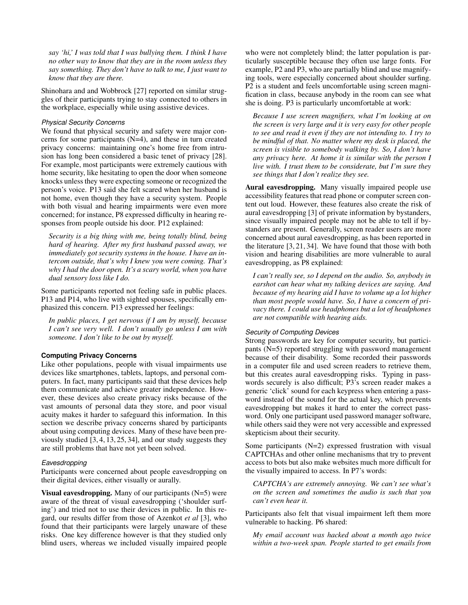*say 'hi,' I was told that I was bullying them. I think I have no other way to know that they are in the room unless they say something. They don't have to talk to me, I just want to know that they are there.* 

Shinohara and and Wobbrock [27] reported on similar struggles of their participants trying to stay connected to others in the workplace, especially while using assistive devices.

## *Physical Security Concerns*

We found that physical security and safety were major concerns for some participants (N=4), and these in turn created privacy concerns: maintaining one's home free from intrusion has long been considered a basic tenet of privacy [28]. For example, most participants were extremely cautious with home security, like hesitating to open the door when someone knocks unless they were expecting someone or recognized the person's voice. P13 said she felt scared when her husband is not home, even though they have a security system. People with both visual and hearing impairments were even more concerned; for instance, P8 expressed difficulty in hearing responses from people outside his door. P12 explained:

*Security is a big thing with me, being totally blind, being hard of hearing. After my first husband passed away, we immediately got security systems in the house. I have an intercom outside, that's why I knew you were coming. That's why I had the door open. It's a scary world, when you have dual sensory loss like I do.* 

Some participants reported not feeling safe in public places. P13 and P14, who live with sighted spouses, specifically emphasized this concern. P13 expressed her feelings:

*In public places, I get nervous if I am by myself, because I can't see very well. I don't usually go unless I am with someone. I don't like to be out by myself.* 

## **Computing Privacy Concerns**

Like other populations, people with visual impairments use devices like smartphones, tablets, laptops, and personal computers. In fact, many participants said that these devices help them communicate and achieve greater independence. However, these devices also create privacy risks because of the vast amounts of personal data they store, and poor visual acuity makes it harder to safeguard this information. In this section we describe privacy concerns shared by participants about using computing devices. Many of these have been previously studied [3, 4, 13, 25, 34], and our study suggests they are still problems that have not yet been solved.

#### *Eavesdropping*

Participants were concerned about people eavesdropping on their digital devices, either visually or aurally.

**Visual eavesdropping.** Many of our participants  $(N=5)$  were aware of the threat of visual eavesdropping ('shoulder surfing') and tried not to use their devices in public. In this regard, our results differ from those of Azenkot *et al* [3], who found that their participants were largely unaware of these risks. One key difference however is that they studied only blind users, whereas we included visually impaired people

who were not completely blind; the latter population is particularly susceptible because they often use large fonts. For example, P2 and P3, who are partially blind and use magnifying tools, were especially concerned about shoulder surfing. P2 is a student and feels uncomfortable using screen magnification in class, because anybody in the room can see what she is doing. P3 is particularly uncomfortable at work:

*Because I use screen magnifiers, what I'm looking at on the screen is very large and it is very easy for other people to see and read it even if they are not intending to. I try to be mindful of that. No matter where my desk is placed, the screen is visible to somebody walking by. So, I don't have any privacy here. At home it is similar with the person I live with. I trust them to be considerate, but I'm sure they see things that I don't realize they see.* 

Aural eavesdropping. Many visually impaired people use accessibility features that read phone or computer screen content out loud. However, these features also create the risk of aural eavesdropping [3] of private information by bystanders, since visually impaired people may not be able to tell if bystanders are present. Generally, screen reader users are more concerned about aural eavesdropping, as has been reported in the literature [3, 21, 34]. We have found that those with both vision and hearing disabilities are more vulnerable to aural eavesdropping, as P8 explained:

*I can't really see, so I depend on the audio. So, anybody in earshot can hear what my talking devices are saying. And because of my hearing aid I have to volume up a lot higher than most people would have. So, I have a concern of privacy there. I could use headphones but a lot of headphones are not compatible with hearing aids.* 

## *Security of Computing Devices*

Strong passwords are key for computer security, but participants (N=5) reported struggling with password management because of their disability. Some recorded their passwords in a computer file and used screen readers to retrieve them, but this creates aural eavesdropping risks. Typing in passwords securely is also difficult; P3's screen reader makes a generic 'click' sound for each keypress when entering a password instead of the sound for the actual key, which prevents eavesdropping but makes it hard to enter the correct password. Only one participant used password manager software, while others said they were not very accessible and expressed skepticism about their security.

Some participants (N=2) expressed frustration with visual CAPTCHAs and other online mechanisms that try to prevent access to bots but also make websites much more difficult for the visually impaired to access. In P7's words:

*CAPTCHA's are extremely annoying. We can't see what's on the screen and sometimes the audio is such that you can't even hear it.* 

Participants also felt that visual impairment left them more vulnerable to hacking. P6 shared:

*My email account was hacked about a month ago twice within a two-week span. People started to get emails from*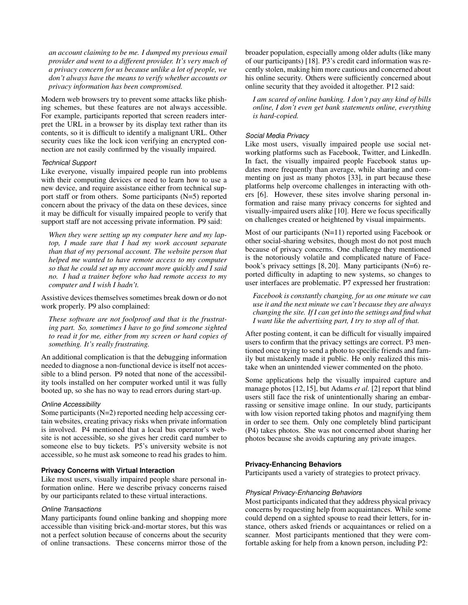*an account claiming to be me. I dumped my previous email provider and went to a different provider. It's very much of a privacy concern for us because unlike a lot of people, we don't always have the means to verify whether accounts or privacy information has been compromised.* 

Modern web browsers try to prevent some attacks like phishing schemes, but these features are not always accessible. For example, participants reported that screen readers interpret the URL in a browser by its display text rather than its contents, so it is difficult to identify a malignant URL. Other security cues like the lock icon verifying an encrypted connection are not easily confirmed by the visually impaired.

## *Technical Support*

Like everyone, visually impaired people run into problems with their computing devices or need to learn how to use a new device, and require assistance either from technical support staff or from others. Some participants (N=5) reported concern about the privacy of the data on these devices, since it may be difficult for visually impaired people to verify that support staff are not accessing private information. P9 said:

*When they were setting up my computer here and my laptop, I made sure that I had my work account separate than that of my personal account. The website person that helped me wanted to have remote access to my computer so that he could set up my account more quickly and I said no. I had a trainer before who had remote access to my computer and I wish I hadn't.* 

Assistive devices themselves sometimes break down or do not work properly. P9 also complained:

*These software are not foolproof and that is the frustrating part. So, sometimes I have to go find someone sighted to read it for me, either from my screen or hard copies of something. It's really frustrating.* 

An additional complication is that the debugging information needed to diagnose a non-functional device is itself not accessible to a blind person. P9 noted that none of the accessibility tools installed on her computer worked until it was fully booted up, so she has no way to read errors during start-up.

#### *Online Accessibility*

Some participants (N=2) reported needing help accessing certain websites, creating privacy risks when private information is involved. P4 mentioned that a local bus operator's website is not accessible, so she gives her credit card number to someone else to buy tickets. P5's university website is not accessible, so he must ask someone to read his grades to him.

## **Privacy Concerns with Virtual Interaction**

Like most users, visually impaired people share personal information online. Here we describe privacy concerns raised by our participants related to these virtual interactions.

## *Online Transactions*

Many participants found online banking and shopping more accessible than visiting brick-and-mortar stores, but this was not a perfect solution because of concerns about the security of online transactions. These concerns mirror those of the

broader population, especially among older adults (like many of our participants) [18]. P3's credit card information was recently stolen, making him more cautious and concerned about his online security. Others were sufficiently concerned about online security that they avoided it altogether. P12 said:

*I am scared of online banking. I don't pay any kind of bills online, I don't even get bank statements online, everything is hard-copied.* 

#### *Social Media Privacy*

Like most users, visually impaired people use social networking platforms such as Facebook, Twitter, and LinkedIn. In fact, the visually impaired people Facebook status updates more frequently than average, while sharing and commenting on just as many photos [33], in part because these platforms help overcome challenges in interacting with others [6]. However, these sites involve sharing personal information and raise many privacy concerns for sighted and visually-impaired users alike [10]. Here we focus specifically on challenges created or heightened by visual impairments.

Most of our participants (N=11) reported using Facebook or other social-sharing websites, though most do not post much because of privacy concerns. One challenge they mentioned is the notoriously volatile and complicated nature of Facebook's privacy settings [8, 20]. Many participants (N=6) reported difficulty in adapting to new systems, so changes to user interfaces are problematic. P7 expressed her frustration:

*Facebook is constantly changing, for us one minute we can use it and the next minute we can't because they are always changing the site. If I can get into the settings and find what I want like the advertising part, I try to stop all of that.* 

After posting content, it can be difficult for visually impaired users to confirm that the privacy settings are correct. P3 mentioned once trying to send a photo to specific friends and family but mistakenly made it public. He only realized this mistake when an unintended viewer commented on the photo.

Some applications help the visually impaired capture and manage photos [12, 15], but Adams *et al.* [2] report that blind users still face the risk of unintentionally sharing an embarrassing or sensitive image online. In our study, participants with low vision reported taking photos and magnifying them in order to see them. Only one completely blind participant (P4) takes photos. She was not concerned about sharing her photos because she avoids capturing any private images.

## **Privacy-Enhancing Behaviors**

Participants used a variety of strategies to protect privacy.

#### *Physical Privacy-Enhancing Behaviors*

Most participants indicated that they address physical privacy concerns by requesting help from acquaintances. While some could depend on a sighted spouse to read their letters, for instance, others asked friends or acquaintances or relied on a scanner. Most participants mentioned that they were comfortable asking for help from a known person, including P2: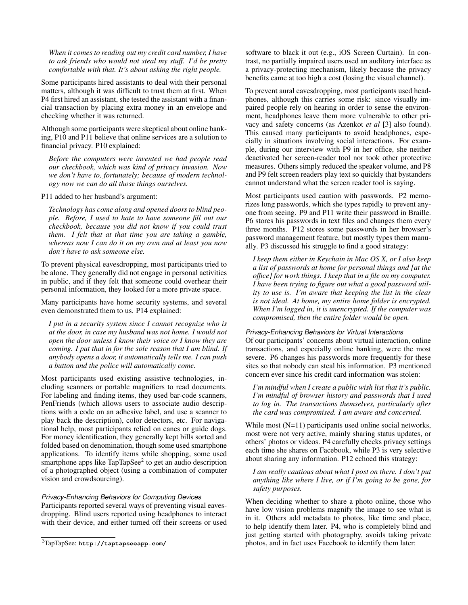*When it comes to reading out my credit card number, I have to ask friends who would not steal my stuff. I'd be pretty comfortable with that. It's about asking the right people.* 

Some participants hired assistants to deal with their personal matters, although it was difficult to trust them at first. When P4 first hired an assistant, she tested the assistant with a financial transaction by placing extra money in an envelope and checking whether it was returned.

Although some participants were skeptical about online banking, P10 and P11 believe that online services are a solution to financial privacy. P10 explained:

*Before the computers were invented we had people read our checkbook, which was kind of privacy invasion. Now we don't have to, fortunately; because of modern technology now we can do all those things ourselves.* 

P11 added to her husband's argument:

*Technology has come along and opened doors to blind people. Before, I used to hate to have someone fill out our checkbook, because you did not know if you could trust them. I felt that at that time you are taking a gamble, whereas now I can do it on my own and at least you now don't have to ask someone else.* 

To prevent physical eavesdropping, most participants tried to be alone. They generally did not engage in personal activities in public, and if they felt that someone could overhear their personal information, they looked for a more private space.

Many participants have home security systems, and several even demonstrated them to us. P14 explained:

*I put in a security system since I cannot recognize who is at the door, in case my husband was not home. I would not open the door unless I know their voice or I know they are coming. I put that in for the sole reason that I am blind. If anybody opens a door, it automatically tells me. I can push a button and the police will automatically come.* 

Most participants used existing assistive technologies, including scanners or portable magnifiers to read documents. For labeling and finding items, they used bar-code scanners, PenFriends (which allows users to associate audio descriptions with a code on an adhesive label, and use a scanner to play back the description), color detectors, etc. For navigational help, most participants relied on canes or guide dogs. For money identification, they generally kept bills sorted and folded based on denomination, though some used smartphone applications. To identify items while shopping, some used smartphone apps like TapTapSee<sup>2</sup> to get an audio description of a photographed object (using a combination of computer vision and crowdsourcing).

## *Privacy-Enhancing Behaviors for Computing Devices*

Participants reported several ways of preventing visual eavesdropping. Blind users reported using headphones to interact with their device, and either turned off their screens or used software to black it out (e.g., iOS Screen Curtain). In contrast, no partially impaired users used an auditory interface as a privacy-protecting mechanism, likely because the privacy benefits came at too high a cost (losing the visual channel).

To prevent aural eavesdropping, most participants used headphones, although this carries some risk: since visually impaired people rely on hearing in order to sense the environment, headphones leave them more vulnerable to other privacy and safety concerns (as Azenkot *et al* [3] also found). This caused many participants to avoid headphones, especially in situations involving social interactions. For example, during our interview with P9 in her office, she neither deactivated her screen-reader tool nor took other protective measures. Others simply reduced the speaker volume, and P8 and P9 felt screen readers play text so quickly that bystanders cannot understand what the screen reader tool is saying.

Most participants used caution with passwords. P2 memorizes long passwords, which she types rapidly to prevent anyone from seeing. P9 and P11 write their password in Braille. P6 stores his passwords in text files and changes them every three months. P12 stores some passwords in her browser's password management feature, but mostly types them manually. P3 discussed his struggle to find a good strategy:

*I keep them either in Keychain in Mac OS X, or I also keep a list of passwords at home for personal things and [at the office] for work things. I keep that in a file on my computer. I have been trying to figure out what a good password utility to use is. I'm aware that keeping the list in the clear is not ideal. At home, my entire home folder is encrypted. When I'm logged in, it is unencrypted. If the computer was compromised, then the entire folder would be open.* 

## *Privacy-Enhancing Behaviors for Virtual Interactions*

Of our participants' concerns about virtual interaction, online transactions, and especially online banking, were the most severe. P6 changes his passwords more frequently for these sites so that nobody can steal his information. P3 mentioned concern ever since his credit card information was stolen:

*I'm mindful when I create a public wish list that it's public. I'm mindful of browser history and passwords that I used to log in. The transactions themselves, particularly after the card was compromised. I am aware and concerned.* 

While most  $(N=11)$  participants used online social networks, most were not very active, mainly sharing status updates, or others' photos or videos. P4 carefully checks privacy settings each time she shares on Facebook, while P3 is very selective about sharing any information. P12 echoed this strategy:

# *I am really cautious about what I post on there. I don't put anything like where I live, or if I'm going to be gone, for safety purposes.*

When deciding whether to share a photo online, those who have low vision problems magnify the image to see what is in it. Others add metadata to photos, like time and place, to help identify them later. P4, who is completely blind and just getting started with photography, avoids taking private photos, and in fact uses Facebook to identify them later:

<span id="page-6-0"></span><sup>2</sup>TapTapSee: **<http://taptapseeapp.com/>**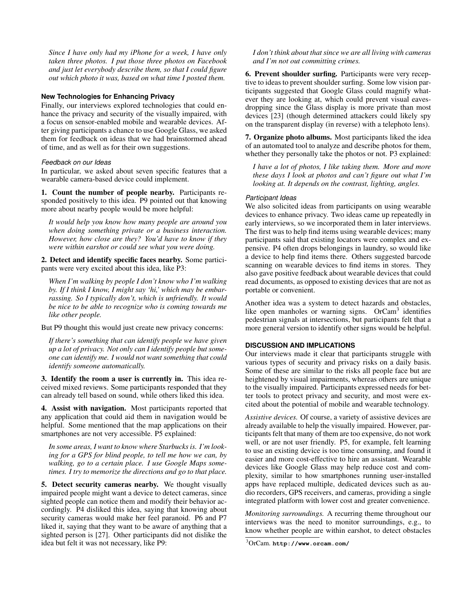*Since I have only had my iPhone for a week, I have only taken three photos. I put those three photos on Facebook and just let everybody describe them, so that I could figure out which photo it was, based on what time I posted them.* 

## **New Technologies for Enhancing Privacy**

Finally, our interviews explored technologies that could enhance the privacy and security of the visually impaired, with a focus on sensor-enabled mobile and wearable devices. After giving participants a chance to use Google Glass, we asked them for feedback on ideas that we had brainstormed ahead of time, and as well as for their own suggestions.

## *Feedback on our Ideas*

In particular, we asked about seven specific features that a wearable camera-based device could implement.

1. Count the number of people nearby. Participants responded positively to this idea. P9 pointed out that knowing more about nearby people would be more helpful:

*It would help you know how many people are around you when doing something private or a business interaction. However, how close are they? You'd have to know if they were within earshot or could see what you were doing.* 

2. Detect and identify specific faces nearby. Some participants were very excited about this idea, like P3:

*When I'm walking by people I don't know who I'm walking by. If I think I know, I might say 'hi,' which may be embarrassing. So I typically don't, which is unfriendly. It would be nice to be able to recognize who is coming towards me like other people.* 

But P9 thought this would just create new privacy concerns:

*If there's something that can identify people we have given up a lot of privacy. Not only can I identify people but someone can identify me. I would not want something that could identify someone automatically.* 

3. Identify the room a user is currently in. This idea received mixed reviews. Some participants responded that they can already tell based on sound, while others liked this idea.

4. Assist with navigation. Most participants reported that any application that could aid them in navigation would be helpful. Some mentioned that the map applications on their smartphones are not very accessible. P5 explained:

*In some areas, I want to know where Starbucks is. I'm looking for a GPS for blind people, to tell me how we can, by walking, go to a certain place. I use Google Maps sometimes. I try to memorize the directions and go to that place.* 

5. Detect security cameras nearby. We thought visually impaired people might want a device to detect cameras, since sighted people can notice them and modify their behavior accordingly. P4 disliked this idea, saying that knowing about security cameras would make her feel paranoid. P6 and P7 liked it, saying that they want to be aware of anything that a sighted person is [27]. Other participants did not dislike the idea but felt it was not necessary, like P9:

*I don't think about that since we are all living with cameras and I'm not out committing crimes.* 

6. Prevent shoulder surfing. Participants were very receptive to ideas to prevent shoulder surfing. Some low vision participants suggested that Google Glass could magnify whatever they are looking at, which could prevent visual eavesdropping since the Glass display is more private than most devices [23] (though determined attackers could likely spy on the transparent display (in reverse) with a telephoto lens).

7. Organize photo albums. Most participants liked the idea of an automated tool to analyze and describe photos for them, whether they personally take the photos or not. P3 explained:

*I have a lot of photos, I like taking them. More and more these days I look at photos and can't figure out what I'm looking at. It depends on the contrast, lighting, angles.* 

# *Participant Ideas*

We also solicited ideas from participants on using wearable devices to enhance privacy. Two ideas came up repeatedly in early interviews, so we incorporated them in later interviews. The first was to help find items using wearable devices; many participants said that existing locators were complex and expensive. P4 often drops belongings in laundry, so would like a device to help find items there. Others suggested barcode scanning on wearable devices to find items in stores. They also gave positive feedback about wearable devices that could read documents, as opposed to existing devices that are not as portable or convenient.

Another idea was a system to detect hazards and obstacles, like open manholes or warning signs. OrCam<sup>3</sup> identifies pedestrian signals at intersections, but participants felt that a more general version to identify other signs would be helpful.

# **DISCUSSION AND IMPLICATIONS**

Our interviews made it clear that participants struggle with various types of security and privacy risks on a daily basis. Some of these are similar to the risks all people face but are heightened by visual impairments, whereas others are unique to the visually impaired. Participants expressed needs for better tools to protect privacy and security, and most were excited about the potential of mobile and wearable technology.

*Assistive devices.* Of course, a variety of assistive devices are already available to help the visually impaired. However, participants felt that many of them are too expensive, do not work well, or are not user friendly. P5, for example, felt learning to use an existing device is too time consuming, and found it easier and more cost-effective to hire an assistant. Wearable devices like Google Glass may help reduce cost and complexity, similar to how smartphones running user-installed apps have replaced multiple, dedicated devices such as audio recorders, GPS receivers, and cameras, providing a single integrated platform with lower cost and greater convenience.

*Monitoring surroundings.* A recurring theme throughout our interviews was the need to monitor surroundings, e.g., to know whether people are within earshot, to detect obstacles

<span id="page-7-0"></span><sup>3</sup>OrCam. **<http://www.orcam.com/>**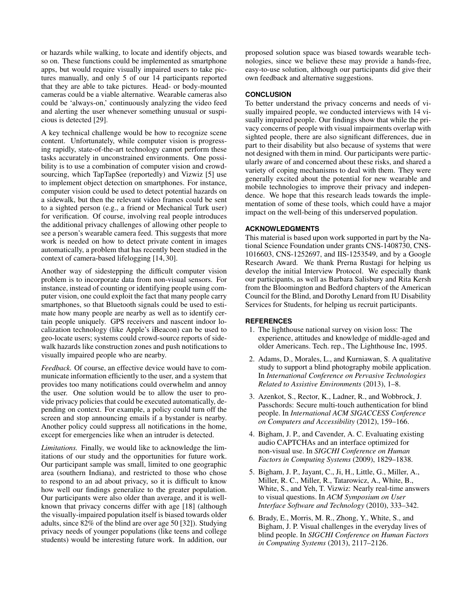or hazards while walking, to locate and identify objects, and so on. These functions could be implemented as smartphone apps, but would require visually impaired users to take pictures manually, and only 5 of our 14 participants reported that they are able to take pictures. Head- or body-mounted cameras could be a viable alternative. Wearable cameras also could be 'always-on,' continuously analyzing the video feed and alerting the user whenever something unusual or suspicious is detected [29].

A key technical challenge would be how to recognize scene content. Unfortunately, while computer vision is progressing rapidly, state-of-the-art technology cannot perform these tasks accurately in unconstrained environments. One possibility is to use a combination of computer vision and crowdsourcing, which TapTapSee (reportedly) and Vizwiz [5] use to implement object detection on smartphones. For instance, computer vision could be used to detect potential hazards on a sidewalk, but then the relevant video frames could be sent to a sighted person (e.g., a friend or Mechanical Turk user) for verification. Of course, involving real people introduces the additional privacy challenges of allowing other people to see a person's wearable camera feed. This suggests that more work is needed on how to detect private content in images automatically, a problem that has recently been studied in the context of camera-based lifelogging [14, 30].

Another way of sidestepping the difficult computer vision problem is to incorporate data from non-visual sensors. For instance, instead of counting or identifying people using computer vision, one could exploit the fact that many people carry smartphones, so that Bluetooth signals could be used to estimate how many people are nearby as well as to identify certain people uniquely. GPS receivers and nascent indoor localization technology (like Apple's iBeacon) can be used to geo-locate users; systems could crowd-source reports of sidewalk hazards like construction zones and push notifications to visually impaired people who are nearby.

*Feedback.* Of course, an effective device would have to communicate information efficiently to the user, and a system that provides too many notifications could overwhelm and annoy the user. One solution would be to allow the user to provide privacy policies that could be executed automatically, depending on context. For example, a policy could turn off the screen and stop announcing emails if a bystander is nearby. Another policy could suppress all notifications in the home, except for emergencies like when an intruder is detected.

*Limitations.* Finally, we would like to acknowledge the limitations of our study and the opportunities for future work. Our participant sample was small, limited to one geographic area (southern Indiana), and restricted to those who chose to respond to an ad about privacy, so it is difficult to know how well our findings generalize to the greater population. Our participants were also older than average, and it is wellknown that privacy concerns differ with age [18] (although the visually-impaired population itself is biased towards older adults, since 82% of the blind are over age 50 [32]). Studying privacy needs of younger populations (like teens and college students) would be interesting future work. In addition, our

proposed solution space was biased towards wearable technologies, since we believe these may provide a hands-free, easy-to-use solution, although our participants did give their own feedback and alternative suggestions.

# **CONCLUSION**

To better understand the privacy concerns and needs of visually impaired people, we conducted interviews with 14 visually impaired people. Our findings show that while the privacy concerns of people with visual impairments overlap with sighted people, there are also significant differences, due in part to their disability but also because of systems that were not designed with them in mind. Our participants were particularly aware of and concerned about these risks, and shared a variety of coping mechanisms to deal with them. They were generally excited about the potential for new wearable and mobile technologies to improve their privacy and independence. We hope that this research leads towards the implementation of some of these tools, which could have a major impact on the well-being of this underserved population.

## **ACKNOWLEDGMENTS**

This material is based upon work supported in part by the National Science Foundation under grants CNS-1408730, CNS-1016603, CNS-1252697, and IIS-1253549, and by a Google Research Award. We thank Prerna Rustagi for helping us develop the initial Interview Protocol. We especially thank our participants, as well as Barbara Salisbury and Rita Kersh from the Bloomington and Bedford chapters of the American Council for the Blind, and Dorothy Lenard from IU Disability Services for Students, for helping us recruit participants.

## **REFERENCES**

- 1. The lighthouse national survey on vision loss: The experience, attitudes and knowledge of middle-aged and older Americans. Tech. rep., The Lighthouse Inc, 1995.
- 2. Adams, D., Morales, L., and Kurniawan, S. A qualitative study to support a blind photography mobile application. In *International Conference on Pervasive Technologies Related to Assistive Environments* (2013), 1–8.
- 3. Azenkot, S., Rector, K., Ladner, R., and Wobbrock, J. Passchords: Secure multi-touch authentication for blind people. In *International ACM SIGACCESS Conference on Computers and Accessibility* (2012), 159–166.
- 4. Bigham, J. P., and Cavender, A. C. Evaluating existing audio CAPTCHAs and an interface optimized for non-visual use. In *SIGCHI Conference on Human Factors in Computing Systems* (2009), 1829–1838.
- 5. Bigham, J. P., Jayant, C., Ji, H., Little, G., Miller, A., Miller, R. C., Miller, R., Tatarowicz, A., White, B., White, S., and Yeh, T. Vizwiz: Nearly real-time answers to visual questions. In *ACM Symposium on User Interface Software and Technology* (2010), 333–342.
- 6. Brady, E., Morris, M. R., Zhong, Y., White, S., and Bigham, J. P. Visual challenges in the everyday lives of blind people. In *SIGCHI Conference on Human Factors in Computing Systems* (2013), 2117–2126.